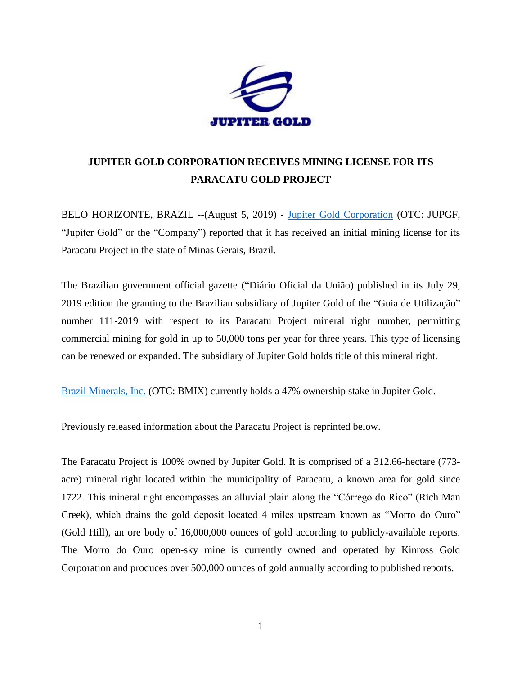

## **JUPITER GOLD CORPORATION RECEIVES MINING LICENSE FOR ITS PARACATU GOLD PROJECT**

BELO HORIZONTE, BRAZIL --(August 5, 2019) - [Jupiter Gold Corporation](http://www.jupitergoldcorp.com/) (OTC: JUPGF, "Jupiter Gold" or the "Company") reported that it has received an initial mining license for its Paracatu Project in the state of Minas Gerais, Brazil.

The Brazilian government official gazette (["Diário Oficial da União\)](https://www.google.com/url?sa=t&rct=j&q=&esrc=s&source=web&cd=2&cad=rja&uact=8&ved=2ahUKEwiAj8O62enjAhUIG3wKHafCDbMQjBAwAXoECAcQCg&url=http%3A%2F%2Fwww.in.gov.br%2Fconsulta&usg=AOvVaw1y1ZjOW9zalwI7V4uRz-am) published in its July 29, 2019 edition the granting to the Brazilian subsidiary of Jupiter Gold of the "Guia de Utilização" number 111-2019 with respect to its Paracatu Project mineral right number, permitting commercial mining for gold in up to 50,000 tons per year for three years. This type of licensing can be renewed or expanded. The subsidiary of Jupiter Gold holds title of this mineral right.

[Brazil Minerals, Inc.](http://www.twitter.com/BMIXstock) (OTC: BMIX) currently holds a 47% ownership stake in Jupiter Gold.

Previously released information about the Paracatu Project is reprinted below.

The Paracatu Project is 100% owned by Jupiter Gold. It is comprised of a 312.66-hectare (773 acre) mineral right located within the municipality of Paracatu, a known area for gold since 1722. This mineral right encompasses an alluvial plain along the "Córrego do Rico" (Rich Man Creek), which drains the gold deposit located 4 miles upstream known as "Morro do Ouro" (Gold Hill), an ore body of 16,000,000 ounces of gold according to publicly-available reports. The Morro do Ouro open-sky mine is currently owned and operated by Kinross Gold Corporation and produces over 500,000 ounces of gold annually according to published reports.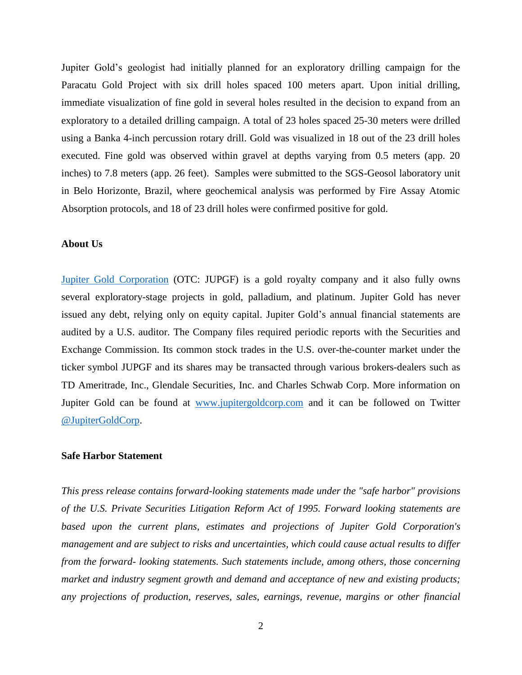Jupiter Gold's geologist had initially planned for an exploratory drilling campaign for the Paracatu Gold Project with six drill holes spaced 100 meters apart. Upon initial drilling, immediate visualization of fine gold in several holes resulted in the decision to expand from an exploratory to a detailed drilling campaign. A total of 23 holes spaced 25-30 meters were drilled using a Banka 4-inch percussion rotary drill. Gold was visualized in 18 out of the 23 drill holes executed. Fine gold was observed within gravel at depths varying from 0.5 meters (app. 20 inches) to 7.8 meters (app. 26 feet). Samples were submitted to the SGS-Geosol laboratory unit in Belo Horizonte, Brazil, where geochemical analysis was performed by Fire Assay Atomic Absorption protocols, and 18 of 23 drill holes were confirmed positive for gold.

## **About Us**

[Jupiter Gold Corporation](http://www.jupitergoldcorp.com/) (OTC: JUPGF) is a gold royalty company and it also fully owns several exploratory-stage projects in gold, palladium, and platinum. Jupiter Gold has never issued any debt, relying only on equity capital. Jupiter Gold's annual financial statements are audited by a U.S. auditor. The Company files required periodic reports with the Securities and Exchange Commission. Its common stock trades in the U.S. over-the-counter market under the ticker symbol JUPGF and its shares may be transacted through various brokers-dealers such as TD Ameritrade, Inc., Glendale Securities, Inc. and Charles Schwab Corp. More information on Jupiter Gold can be found at [www.jupitergoldcorp.com](http://www.jupitergoldcorp.com/) and it can be followed on Twitter [@JupiterGoldCorp.](http://www.twitter.com/JupiterGoldCorp)

## **Safe Harbor Statement**

*This press release contains forward-looking statements made under the "safe harbor" provisions of the U.S. Private Securities Litigation Reform Act of 1995. Forward looking statements are based upon the current plans, estimates and projections of Jupiter Gold Corporation's management and are subject to risks and uncertainties, which could cause actual results to differ from the forward- looking statements. Such statements include, among others, those concerning market and industry segment growth and demand and acceptance of new and existing products; any projections of production, reserves, sales, earnings, revenue, margins or other financial*